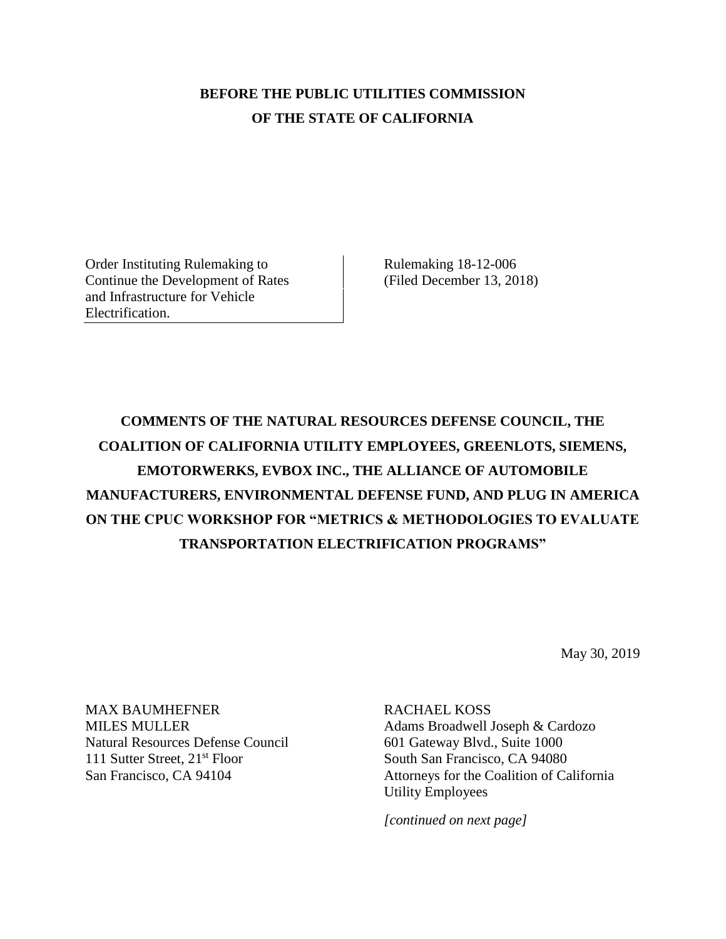## **BEFORE THE PUBLIC UTILITIES COMMISSION OF THE STATE OF CALIFORNIA**

Order Instituting Rulemaking to Continue the Development of Rates and Infrastructure for Vehicle Electrification.

Rulemaking 18-12-006 (Filed December 13, 2018)

**COMMENTS OF THE NATURAL RESOURCES DEFENSE COUNCIL, THE COALITION OF CALIFORNIA UTILITY EMPLOYEES, GREENLOTS, SIEMENS, EMOTORWERKS, EVBOX INC., THE ALLIANCE OF AUTOMOBILE MANUFACTURERS, ENVIRONMENTAL DEFENSE FUND, AND PLUG IN AMERICA ON THE CPUC WORKSHOP FOR "METRICS & METHODOLOGIES TO EVALUATE TRANSPORTATION ELECTRIFICATION PROGRAMS"**

May 30, 2019

MAX BAUMHEFNER MILES MULLER Natural Resources Defense Council 111 Sutter Street, 21<sup>st</sup> Floor San Francisco, CA 94104

RACHAEL KOSS Adams Broadwell Joseph & Cardozo 601 Gateway Blvd., Suite 1000 South San Francisco, CA 94080 Attorneys for the Coalition of California Utility Employees

*[continued on next page]*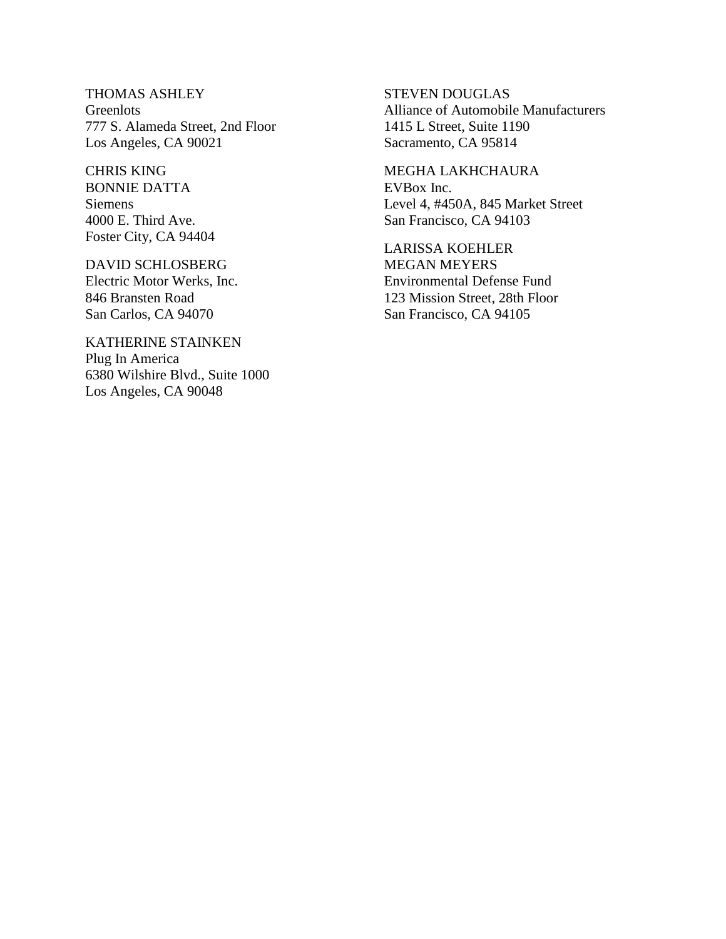THOMAS ASHLEY **Greenlots** 777 S. Alameda Street, 2nd Floor Los Angeles, CA 90021

CHRIS KING BONNIE DATTA Siemens 4000 E. Third Ave. Foster City, CA 94404

#### DAVID SCHLOSBERG

Electric Motor Werks, Inc. 846 Bransten Road San Carlos, CA 94070

KATHERINE STAINKEN Plug In America 6380 Wilshire Blvd., Suite 1000 Los Angeles, CA 90048

STEVEN DOUGLAS Alliance of Automobile Manufacturers 1415 L Street, Suite 1190 Sacramento, CA 95814

MEGHA LAKHCHAURA EVBox Inc. Level 4, #450A, 845 Market Street San Francisco, CA 94103

LARISSA KOEHLER MEGAN MEYERS Environmental Defense Fund 123 Mission Street, 28th Floor San Francisco, CA 94105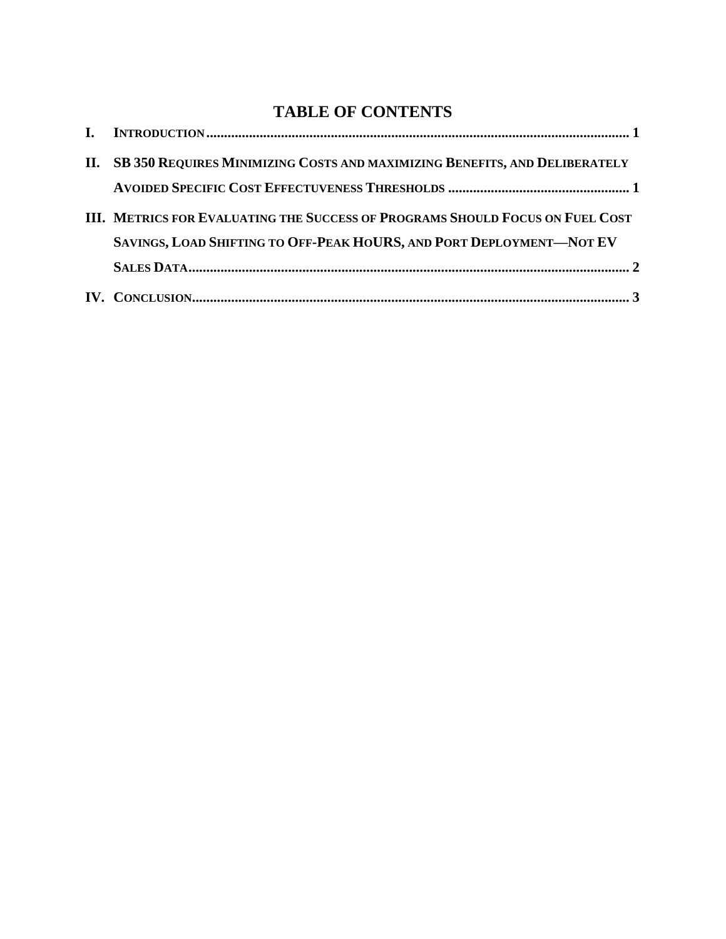# **TABLE OF CONTENTS**

| II. SB 350 REQUIRES MINIMIZING COSTS AND MAXIMIZING BENEFITS, AND DELIBERATELY |
|--------------------------------------------------------------------------------|
|                                                                                |
| III. METRICS FOR EVALUATING THE SUCCESS OF PROGRAMS SHOULD FOCUS ON FUEL COST  |
| SAVINGS, LOAD SHIFTING TO OFF-PEAK HOURS, AND PORT DEPLOYMENT-NOT EV           |
|                                                                                |
|                                                                                |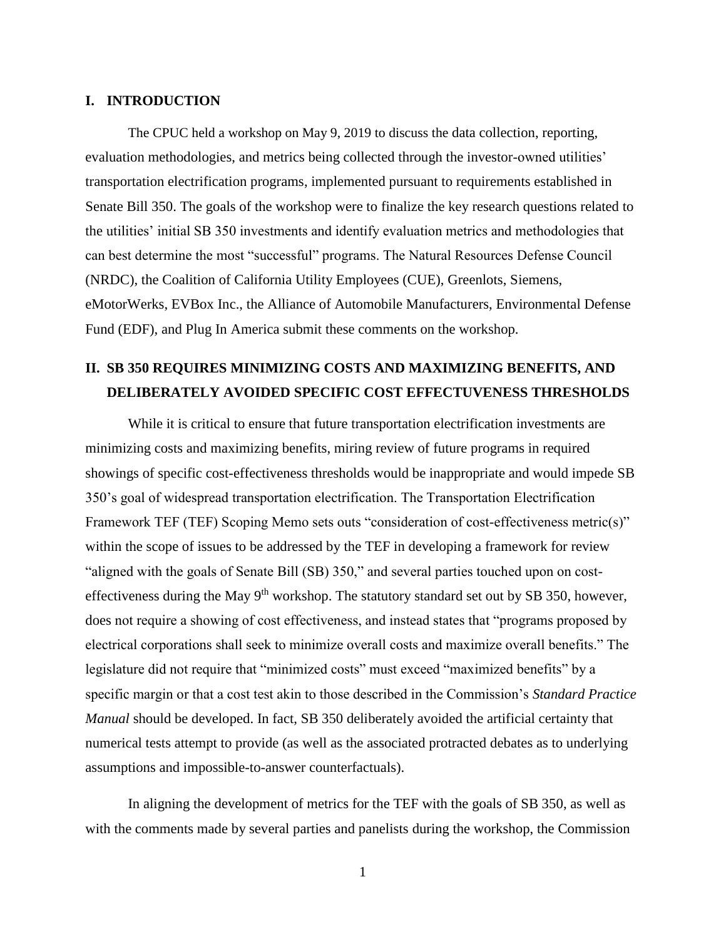#### <span id="page-3-1"></span><span id="page-3-0"></span>**I. INTRODUCTION**

The CPUC held a workshop on May 9, 2019 to discuss the data collection, reporting, evaluation methodologies, and metrics being collected through the investor-owned utilities' transportation electrification programs, implemented pursuant to requirements established in Senate Bill 350. The goals of the workshop were to finalize the key research questions related to the utilities' initial SB 350 investments and identify evaluation metrics and methodologies that can best determine the most "successful" programs. The Natural Resources Defense Council (NRDC), the Coalition of California Utility Employees (CUE), Greenlots, Siemens, eMotorWerks, EVBox Inc., the Alliance of Automobile Manufacturers, Environmental Defense Fund (EDF), and Plug In America submit these comments on the workshop.

### **II. SB 350 REQUIRES MINIMIZING COSTS AND MAXIMIZING BENEFITS, AND DELIBERATELY AVOIDED SPECIFIC COST EFFECTUVENESS THRESHOLDS**

While it is critical to ensure that future transportation electrification investments are minimizing costs and maximizing benefits, miring review of future programs in required showings of specific cost-effectiveness thresholds would be inappropriate and would impede SB 350's goal of widespread transportation electrification. The Transportation Electrification Framework TEF (TEF) Scoping Memo sets outs "consideration of cost-effectiveness metric(s)" within the scope of issues to be addressed by the TEF in developing a framework for review "aligned with the goals of Senate Bill (SB) 350," and several parties touched upon on costeffectiveness during the May  $9<sup>th</sup>$  workshop. The statutory standard set out by SB 350, however, does not require a showing of cost effectiveness, and instead states that "programs proposed by electrical corporations shall seek to minimize overall costs and maximize overall benefits." The legislature did not require that "minimized costs" must exceed "maximized benefits" by a specific margin or that a cost test akin to those described in the Commission's *Standard Practice Manual* should be developed. In fact, SB 350 deliberately avoided the artificial certainty that numerical tests attempt to provide (as well as the associated protracted debates as to underlying assumptions and impossible-to-answer counterfactuals).

In aligning the development of metrics for the TEF with the goals of SB 350, as well as with the comments made by several parties and panelists during the workshop, the Commission

1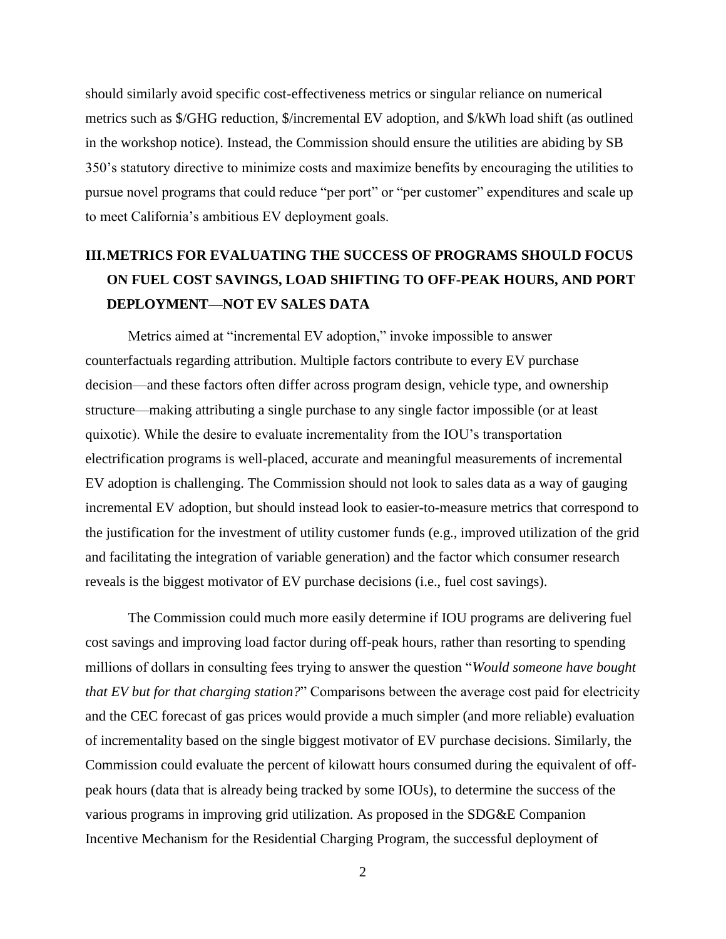should similarly avoid specific cost-effectiveness metrics or singular reliance on numerical metrics such as \$/GHG reduction, \$/incremental EV adoption, and \$/kWh load shift (as outlined in the workshop notice). Instead, the Commission should ensure the utilities are abiding by SB 350's statutory directive to minimize costs and maximize benefits by encouraging the utilities to pursue novel programs that could reduce "per port" or "per customer" expenditures and scale up to meet California's ambitious EV deployment goals.

# <span id="page-4-0"></span>**III.METRICS FOR EVALUATING THE SUCCESS OF PROGRAMS SHOULD FOCUS ON FUEL COST SAVINGS, LOAD SHIFTING TO OFF-PEAK HOURS, AND PORT DEPLOYMENT—NOT EV SALES DATA**

Metrics aimed at "incremental EV adoption," invoke impossible to answer counterfactuals regarding attribution. Multiple factors contribute to every EV purchase decision—and these factors often differ across program design, vehicle type, and ownership structure—making attributing a single purchase to any single factor impossible (or at least quixotic). While the desire to evaluate incrementality from the IOU's transportation electrification programs is well-placed, accurate and meaningful measurements of incremental EV adoption is challenging. The Commission should not look to sales data as a way of gauging incremental EV adoption, but should instead look to easier-to-measure metrics that correspond to the justification for the investment of utility customer funds (e.g., improved utilization of the grid and facilitating the integration of variable generation) and the factor which consumer research reveals is the biggest motivator of EV purchase decisions (i.e., fuel cost savings).

The Commission could much more easily determine if IOU programs are delivering fuel cost savings and improving load factor during off-peak hours, rather than resorting to spending millions of dollars in consulting fees trying to answer the question "*Would someone have bought that EV but for that charging station?*" Comparisons between the average cost paid for electricity and the CEC forecast of gas prices would provide a much simpler (and more reliable) evaluation of incrementality based on the single biggest motivator of EV purchase decisions. Similarly, the Commission could evaluate the percent of kilowatt hours consumed during the equivalent of offpeak hours (data that is already being tracked by some IOUs), to determine the success of the various programs in improving grid utilization. As proposed in the SDG&E Companion Incentive Mechanism for the Residential Charging Program, the successful deployment of

2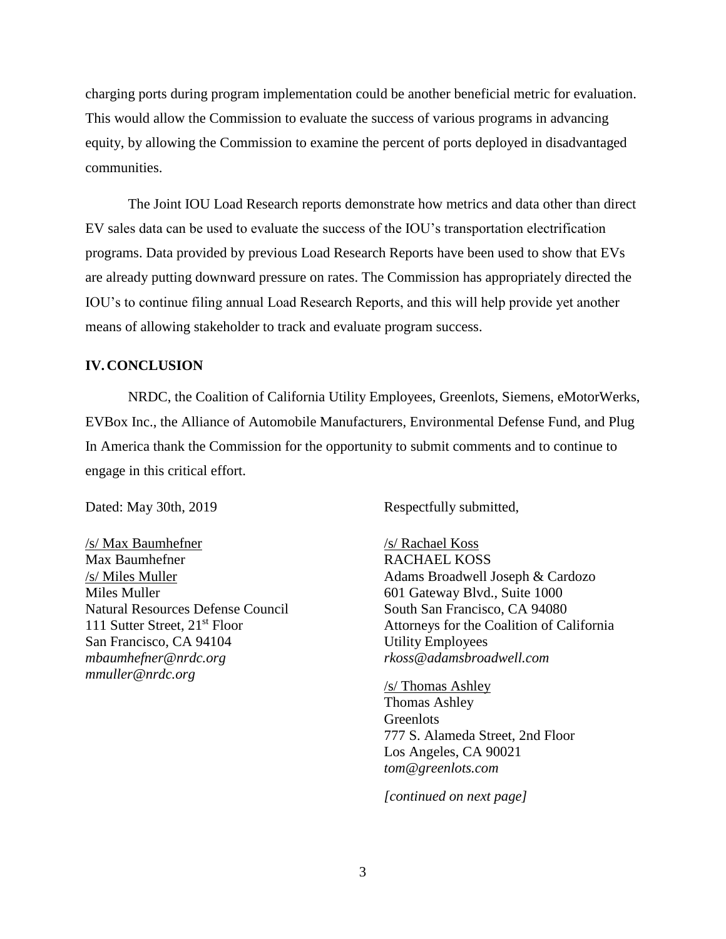charging ports during program implementation could be another beneficial metric for evaluation. This would allow the Commission to evaluate the success of various programs in advancing equity, by allowing the Commission to examine the percent of ports deployed in disadvantaged communities.

The Joint IOU Load Research reports demonstrate how metrics and data other than direct EV sales data can be used to evaluate the success of the IOU's transportation electrification programs. Data provided by previous Load Research Reports have been used to show that EVs are already putting downward pressure on rates. The Commission has appropriately directed the IOU's to continue filing annual Load Research Reports, and this will help provide yet another means of allowing stakeholder to track and evaluate program success.

#### <span id="page-5-0"></span>**IV.CONCLUSION**

NRDC, the Coalition of California Utility Employees, Greenlots, Siemens, eMotorWerks, EVBox Inc., the Alliance of Automobile Manufacturers, Environmental Defense Fund, and Plug In America thank the Commission for the opportunity to submit comments and to continue to engage in this critical effort.

/s/ Max Baumhefner Max Baumhefner /s/ Miles Muller Miles Muller Natural Resources Defense Council 111 Sutter Street, 21st Floor San Francisco, CA 94104 *mbaumhefner@nrdc.org mmuller@nrdc.org*

Dated: May 30th, 2019 Respectfully submitted,

/s/ Rachael Koss RACHAEL KOSS Adams Broadwell Joseph & Cardozo 601 Gateway Blvd., Suite 1000 South San Francisco, CA 94080 Attorneys for the Coalition of California Utility Employees *rkoss@adamsbroadwell.com*

/s/ Thomas Ashley Thomas Ashley **Greenlots** 777 S. Alameda Street, 2nd Floor Los Angeles, CA 90021 *tom@greenlots.com*

*[continued on next page]*